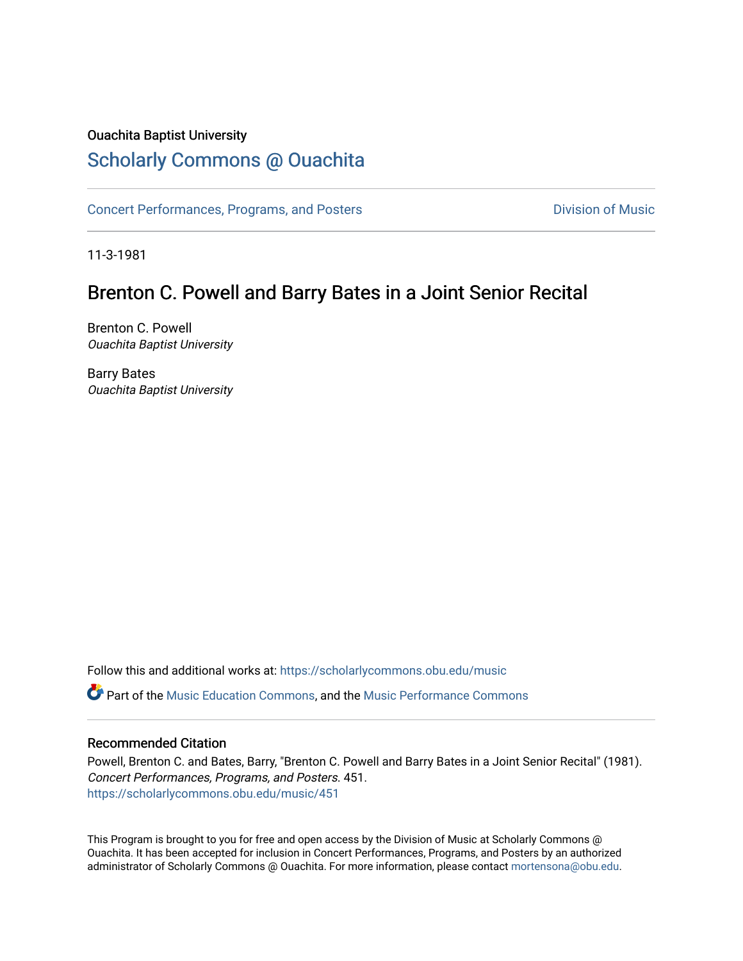#### Ouachita Baptist University

### [Scholarly Commons @ Ouachita](https://scholarlycommons.obu.edu/)

[Concert Performances, Programs, and Posters](https://scholarlycommons.obu.edu/music) **Division of Music** Division of Music

11-3-1981

## Brenton C. Powell and Barry Bates in a Joint Senior Recital

Brenton C. Powell Ouachita Baptist University

Barry Bates Ouachita Baptist University

Follow this and additional works at: [https://scholarlycommons.obu.edu/music](https://scholarlycommons.obu.edu/music?utm_source=scholarlycommons.obu.edu%2Fmusic%2F451&utm_medium=PDF&utm_campaign=PDFCoverPages) 

**C** Part of the [Music Education Commons,](http://network.bepress.com/hgg/discipline/1246?utm_source=scholarlycommons.obu.edu%2Fmusic%2F451&utm_medium=PDF&utm_campaign=PDFCoverPages) and the Music Performance Commons

#### Recommended Citation

Powell, Brenton C. and Bates, Barry, "Brenton C. Powell and Barry Bates in a Joint Senior Recital" (1981). Concert Performances, Programs, and Posters. 451. [https://scholarlycommons.obu.edu/music/451](https://scholarlycommons.obu.edu/music/451?utm_source=scholarlycommons.obu.edu%2Fmusic%2F451&utm_medium=PDF&utm_campaign=PDFCoverPages) 

This Program is brought to you for free and open access by the Division of Music at Scholarly Commons @ Ouachita. It has been accepted for inclusion in Concert Performances, Programs, and Posters by an authorized administrator of Scholarly Commons @ Ouachita. For more information, please contact [mortensona@obu.edu](mailto:mortensona@obu.edu).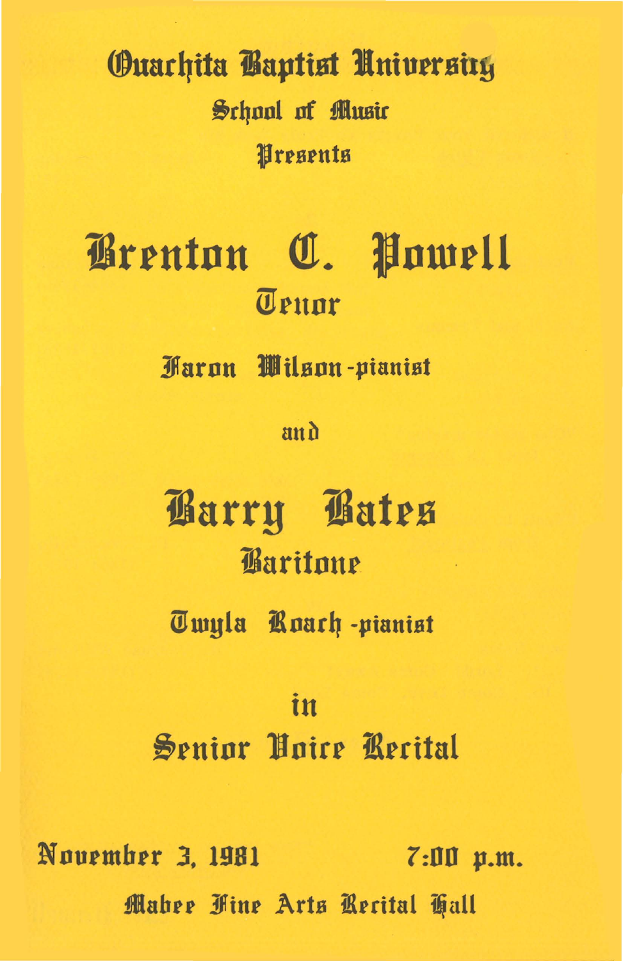## **Ouarhita Baptist University** School of Music Wresents

# Grenton C. Powell Teunr

**Faron Wilson-pianist** 

 $an<sub>0</sub>$ 

Barry Bates Baritone

Twula Roach-pianist

## in Senior Hoire Recital

November 3, 1981  $7:00$  p.m. Mahee Fine Arts Recital Tall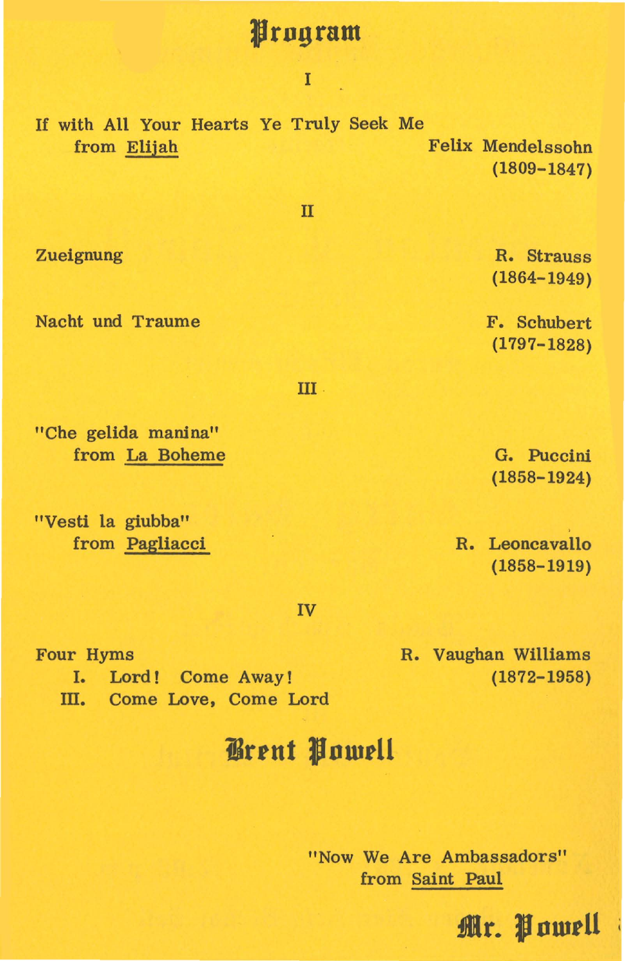#### **Jrngram**

I

If with All Your Hearts Ye Truly Seek Me from Elijah Felix Mendelssohn (1809-1847)

II

Zueignung

Nacht und Traume

"Che gelida manina" from La Boheme

"Vesti la giubba" from Pagliacci

R. Strauss ( 1864-1949)

F. Schubert (1797-1828)

III

G. Puccini (1858-1924)

R. Leoncavallo (1858-1919)

**tlr. Jnwtll** 

IV

Four Hyms

I. Lord! Come Away! III. Come Love, Come Lord R. Vaughan Williams (1872-1958)

## **iSrtut Jnwtll**

"Now We Are Ambassadors" from Saint Paul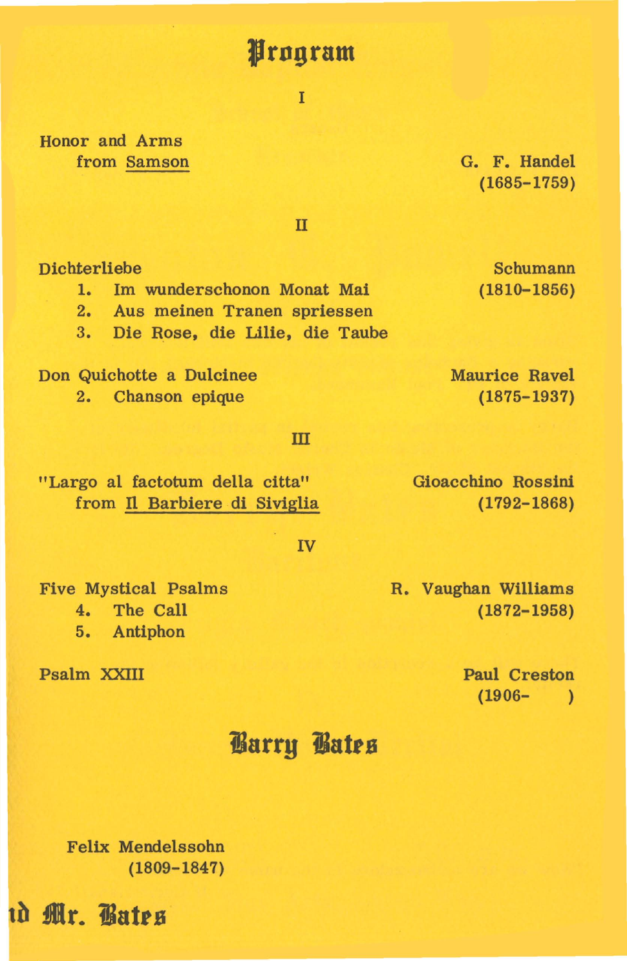## **Jfrngram**

I

Honor and Arms from Samson

G. F. Handel (1685-1759)

II

Dichterliebe

1. Im wunderschonon Monat Mai

2. Aus meinen Tranen spriessen

3. Die Rose, die Lilie, die Taube

Don Quichotte a Dulcinee 2. Chanson epique

#### m

"Largo al factotum della citta" from Il Barbiere di Siviglia

#### IV

Five Mystical Psalms

4. The Call

5. Antiphon

Psalm XXIII

(1872-1958)

R. Vaughan Williams

Paul Creston  $(1906 - )$ 

## **iarry iatrs**

Felix Mendelssohn (1809-1847)

**d• ilr. iatrs** 

Schumann ( 181Q-1856)

Gioacchino Rossini ( 1792-1868)

Maurice Ravel (1875-1937)